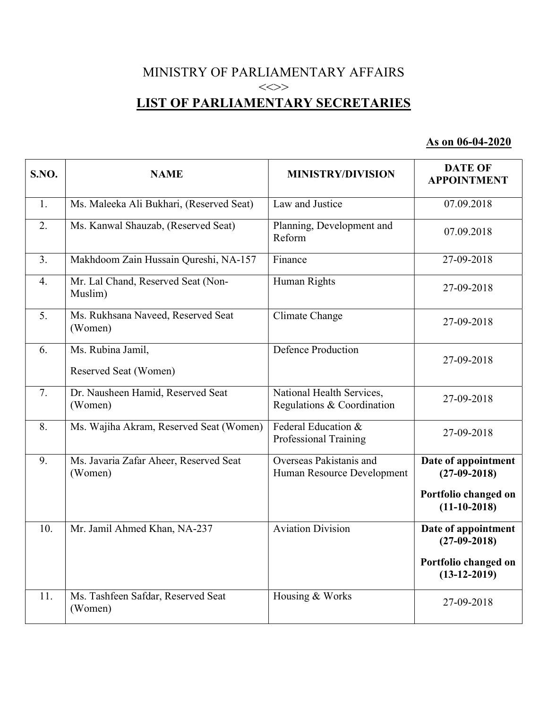## MINISTRY OF PARLIAMENTARY AFFAIRS  $\iff$ LIST OF PARLIAMENTARY SECRETARIES

## As on 06-04-2020

| S.NO.            | <b>NAME</b>                                       | <b>MINISTRY/DIVISION</b>                                     | <b>DATE OF</b><br><b>APPOINTMENT</b>   |
|------------------|---------------------------------------------------|--------------------------------------------------------------|----------------------------------------|
| 1.               | Ms. Maleeka Ali Bukhari, (Reserved Seat)          | Law and Justice                                              | 07.09.2018                             |
| 2.               | Ms. Kanwal Shauzab, (Reserved Seat)               | Planning, Development and<br>Reform                          | 07.09.2018                             |
| 3.               | Makhdoom Zain Hussain Qureshi, NA-157             | Finance                                                      | $27 - 09 - 2018$                       |
| $\overline{4}$ . | Mr. Lal Chand, Reserved Seat (Non-<br>Muslim)     | Human Rights                                                 | 27-09-2018                             |
| 5.               | Ms. Rukhsana Naveed, Reserved Seat<br>(Women)     | Climate Change                                               | 27-09-2018                             |
| 6.               | Ms. Rubina Jamil,<br>Reserved Seat (Women)        | <b>Defence Production</b>                                    | 27-09-2018                             |
| 7.               | Dr. Nausheen Hamid, Reserved Seat<br>(Women)      | National Health Services,<br>Regulations & Coordination      | 27-09-2018                             |
| 8.               | Ms. Wajiha Akram, Reserved Seat (Women)           | Federal Education &<br>Professional Training                 | 27-09-2018                             |
| 9.               | Ms. Javaria Zafar Aheer, Reserved Seat<br>(Women) | <b>Overseas Pakistanis and</b><br>Human Resource Development | Date of appointment<br>$(27-09-2018)$  |
|                  |                                                   |                                                              | Portfolio changed on<br>$(11-10-2018)$ |
| 10.              | Mr. Jamil Ahmed Khan, NA-237                      | <b>Aviation Division</b>                                     | Date of appointment<br>$(27-09-2018)$  |
|                  |                                                   |                                                              | Portfolio changed on<br>$(13-12-2019)$ |
| 11.              | Ms. Tashfeen Safdar, Reserved Seat<br>(Women)     | Housing & Works                                              | 27-09-2018                             |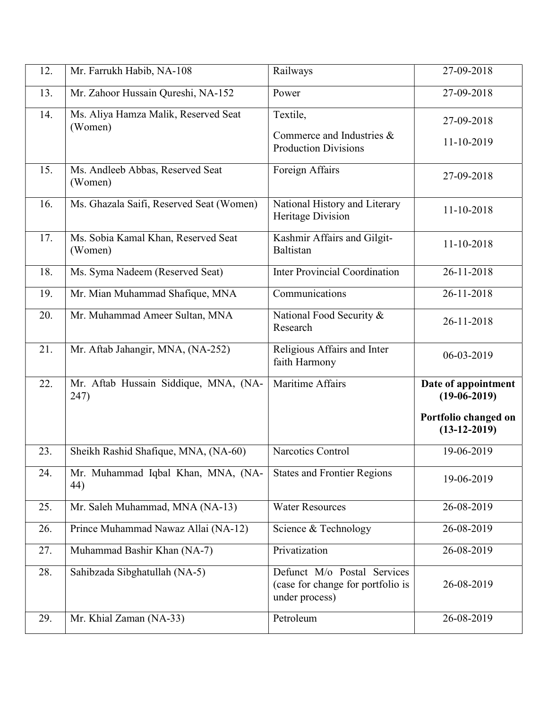| 12. | Mr. Farrukh Habib, NA-108                       | Railways                                                                           | 27-09-2018                             |
|-----|-------------------------------------------------|------------------------------------------------------------------------------------|----------------------------------------|
| 13. | Mr. Zahoor Hussain Qureshi, NA-152              | Power                                                                              | 27-09-2018                             |
| 14. | Ms. Aliya Hamza Malik, Reserved Seat<br>(Women) | Textile,<br>Commerce and Industries &<br><b>Production Divisions</b>               | 27-09-2018<br>11-10-2019               |
| 15. | Ms. Andleeb Abbas, Reserved Seat<br>(Women)     | Foreign Affairs                                                                    | 27-09-2018                             |
| 16. | Ms. Ghazala Saifi, Reserved Seat (Women)        | National History and Literary<br>Heritage Division                                 | 11-10-2018                             |
| 17. | Ms. Sobia Kamal Khan, Reserved Seat<br>(Women)  | Kashmir Affairs and Gilgit-<br>Baltistan                                           | 11-10-2018                             |
| 18. | Ms. Syma Nadeem (Reserved Seat)                 | <b>Inter Provincial Coordination</b>                                               | 26-11-2018                             |
| 19. | Mr. Mian Muhammad Shafique, MNA                 | Communications                                                                     | 26-11-2018                             |
| 20. | Mr. Muhammad Ameer Sultan, MNA                  | National Food Security &<br>Research                                               | 26-11-2018                             |
| 21. | Mr. Aftab Jahangir, MNA, (NA-252)               | Religious Affairs and Inter<br>faith Harmony                                       | 06-03-2019                             |
|     |                                                 |                                                                                    |                                        |
| 22. | Mr. Aftab Hussain Siddique, MNA, (NA-<br>247)   | Maritime Affairs                                                                   | Date of appointment<br>$(19-06-2019)$  |
|     |                                                 |                                                                                    | Portfolio changed on<br>$(13-12-2019)$ |
| 23. | Sheikh Rashid Shafique, MNA, (NA-60)            | Narcotics Control                                                                  | 19-06-2019                             |
| 24. | Mr. Muhammad Iqbal Khan, MNA, (NA-<br>44)       | <b>States and Frontier Regions</b>                                                 | 19-06-2019                             |
| 25. | Mr. Saleh Muhammad, MNA (NA-13)                 | <b>Water Resources</b>                                                             | 26-08-2019                             |
| 26. | Prince Muhammad Nawaz Allai (NA-12)             | Science & Technology                                                               | 26-08-2019                             |
| 27. | Muhammad Bashir Khan (NA-7)                     | Privatization                                                                      | $26 - 08 - 2019$                       |
| 28. | Sahibzada Sibghatullah (NA-5)                   | Defunct M/o Postal Services<br>(case for change for portfolio is<br>under process) | 26-08-2019                             |